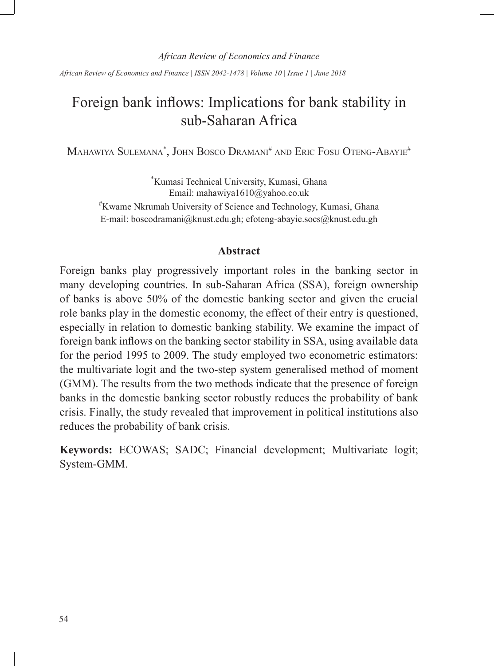*African Review of Economics and Finance | ISSN 2042-1478 | Volume 10 | Issue 1 | June 2018*

# Foreign bank inflows: Implications for bank stability in sub-Saharan Africa

Mahawiya Sulemana\*, John Bosco Dramani# and Eric Fosu Oteng-Abayie#

\* Kumasi Technical University, Kumasi, Ghana Email: mahawiya1610@yahoo.co.uk # Kwame Nkrumah University of Science and Technology, Kumasi, Ghana E-mail: boscodramani@knust.edu.gh; efoteng-abayie.socs@knust.edu.gh

#### **Abstract**

Foreign banks play progressively important roles in the banking sector in many developing countries. In sub-Saharan Africa (SSA), foreign ownership of banks is above 50% of the domestic banking sector and given the crucial role banks play in the domestic economy, the effect of their entry is questioned, especially in relation to domestic banking stability. We examine the impact of foreign bank inflows on the banking sector stability in SSA, using available data for the period 1995 to 2009. The study employed two econometric estimators: the multivariate logit and the two-step system generalised method of moment (GMM). The results from the two methods indicate that the presence of foreign banks in the domestic banking sector robustly reduces the probability of bank crisis. Finally, the study revealed that improvement in political institutions also reduces the probability of bank crisis.

**Keywords:** ECOWAS; SADC; Financial development; Multivariate logit; System-GMM.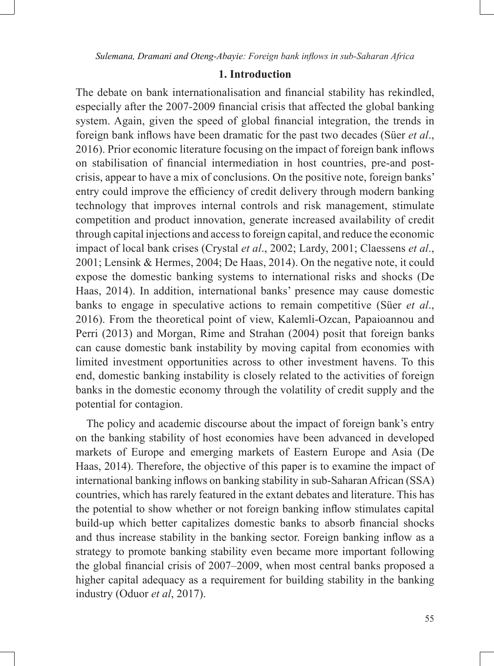# **1. Introduction**

The debate on bank internationalisation and financial stability has rekindled, especially after the 2007-2009 financial crisis that affected the global banking system. Again, given the speed of global financial integration, the trends in foreign bank inflows have been dramatic for the past two decades (Süer *et al*., 2016). Prior economic literature focusing on the impact of foreign bank inflows on stabilisation of financial intermediation in host countries, pre-and postcrisis, appear to have a mix of conclusions. On the positive note, foreign banks' entry could improve the efficiency of credit delivery through modern banking technology that improves internal controls and risk management, stimulate competition and product innovation, generate increased availability of credit through capital injections and access to foreign capital, and reduce the economic impact of local bank crises (Crystal *et al*., 2002; Lardy, 2001; Claessens *et al*., 2001; Lensink & Hermes, 2004; De Haas, 2014). On the negative note, it could expose the domestic banking systems to international risks and shocks (De Haas, 2014). In addition, international banks' presence may cause domestic banks to engage in speculative actions to remain competitive (Süer *et al*., 2016). From the theoretical point of view, Kalemli-Ozcan, Papaioannou and Perri (2013) and Morgan, Rime and Strahan (2004) posit that foreign banks can cause domestic bank instability by moving capital from economies with limited investment opportunities across to other investment havens. To this end, domestic banking instability is closely related to the activities of foreign banks in the domestic economy through the volatility of credit supply and the potential for contagion.

The policy and academic discourse about the impact of foreign bank's entry on the banking stability of host economies have been advanced in developed markets of Europe and emerging markets of Eastern Europe and Asia (De Haas, 2014). Therefore, the objective of this paper is to examine the impact of international banking inflows on banking stability in sub-Saharan African (SSA) countries, which has rarely featured in the extant debates and literature. This has the potential to show whether or not foreign banking inflow stimulates capital build-up which better capitalizes domestic banks to absorb financial shocks and thus increase stability in the banking sector. Foreign banking inflow as a strategy to promote banking stability even became more important following the global financial crisis of 2007–2009, when most central banks proposed a higher capital adequacy as a requirement for building stability in the banking industry (Oduor *et al*, 2017).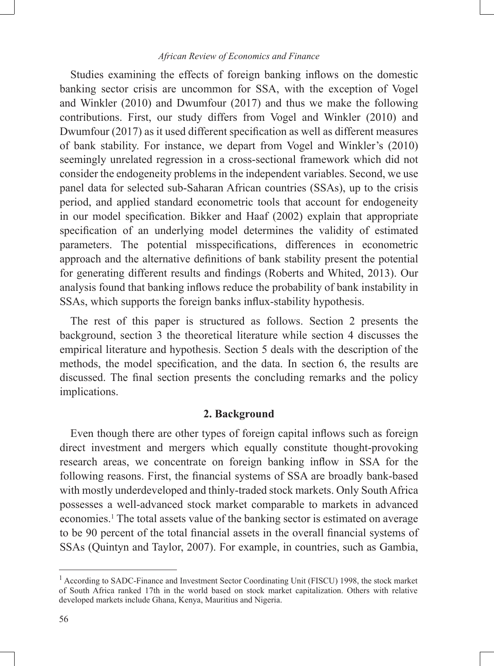Studies examining the effects of foreign banking inflows on the domestic banking sector crisis are uncommon for SSA, with the exception of Vogel and Winkler (2010) and Dwumfour (2017) and thus we make the following contributions. First, our study differs from Vogel and Winkler (2010) and Dwumfour (2017) as it used different specification as well as different measures of bank stability. For instance, we depart from Vogel and Winkler's (2010) seemingly unrelated regression in a cross-sectional framework which did not consider the endogeneity problems in the independent variables. Second, we use panel data for selected sub-Saharan African countries (SSAs), up to the crisis period, and applied standard econometric tools that account for endogeneity in our model specification. Bikker and Haaf (2002) explain that appropriate specification of an underlying model determines the validity of estimated parameters. The potential misspecifications, differences in econometric approach and the alternative definitions of bank stability present the potential for generating different results and findings (Roberts and Whited, 2013). Our analysis found that banking inflows reduce the probability of bank instability in SSAs, which supports the foreign banks influx-stability hypothesis.

The rest of this paper is structured as follows. Section 2 presents the background, section 3 the theoretical literature while section 4 discusses the empirical literature and hypothesis. Section 5 deals with the description of the methods, the model specification, and the data. In section 6, the results are discussed. The final section presents the concluding remarks and the policy implications.

## **2. Background**

Even though there are other types of foreign capital inflows such as foreign direct investment and mergers which equally constitute thought-provoking research areas, we concentrate on foreign banking inflow in SSA for the following reasons. First, the financial systems of SSA are broadly bank-based with mostly underdeveloped and thinly-traded stock markets. Only South Africa possesses a well-advanced stock market comparable to markets in advanced economies.<sup>1</sup> The total assets value of the banking sector is estimated on average to be 90 percent of the total financial assets in the overall financial systems of SSAs (Quintyn and Taylor, 2007). For example, in countries, such as Gambia,

<sup>&</sup>lt;sup>1</sup> According to SADC-Finance and Investment Sector Coordinating Unit (FISCU) 1998, the stock market of South Africa ranked 17th in the world based on stock market capitalization. Others with relative developed markets include Ghana, Kenya, Mauritius and Nigeria.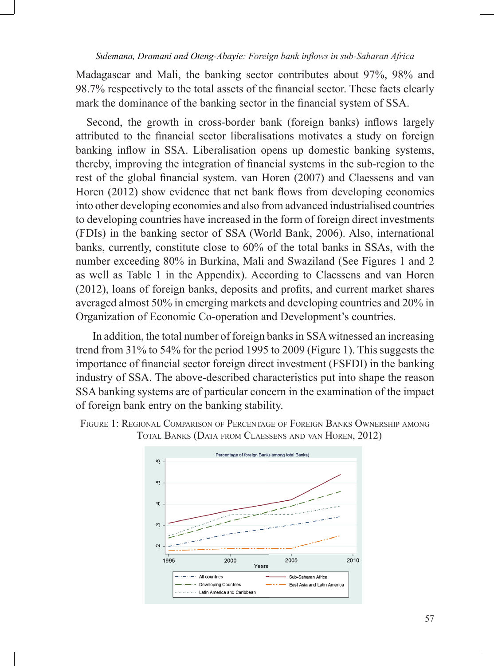Madagascar and Mali, the banking sector contributes about 97%, 98% and 98.7% respectively to the total assets of the financial sector. These facts clearly mark the dominance of the banking sector in the financial system of SSA.

Second, the growth in cross-border bank (foreign banks) inflows largely attributed to the financial sector liberalisations motivates a study on foreign banking inflow in SSA. Liberalisation opens up domestic banking systems, thereby, improving the integration of financial systems in the sub-region to the rest of the global financial system. van Horen (2007) and Claessens and van Horen (2012) show evidence that net bank flows from developing economies into other developing economies and also from advanced industrialised countries to developing countries have increased in the form of foreign direct investments (FDIs) in the banking sector of SSA (World Bank, 2006). Also, international banks, currently, constitute close to 60% of the total banks in SSAs, with the number exceeding 80% in Burkina, Mali and Swaziland (See Figures 1 and 2 as well as Table 1 in the Appendix). According to Claessens and van Horen  $(2012)$ , loans of foreign banks, deposits and profits, and current market shares averaged almost 50% in emerging markets and developing countries and 20% in Organization of Economic Co-operation and Development's countries.

 In addition, the total number of foreign banks in SSA witnessed an increasing trend from 31% to 54% for the period 1995 to 2009 (Figure 1). This suggests the importance of financial sector foreign direct investment (FSFDI) in the banking industry of SSA. The above-described characteristics put into shape the reason SSA banking systems are of particular concern in the examination of the impact of foreign bank entry on the banking stability.



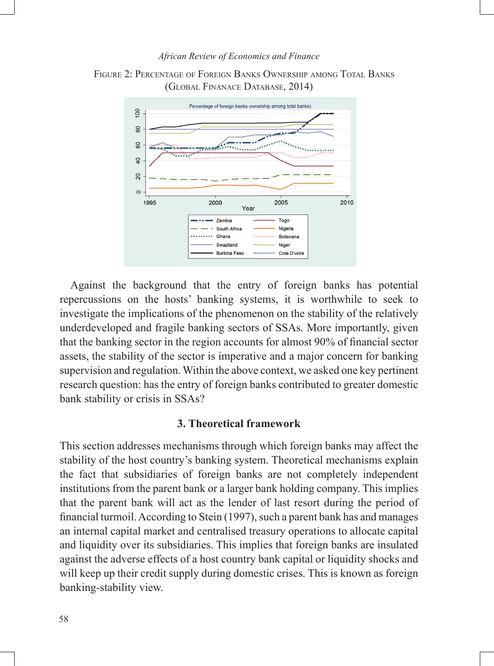



Against the background that the entry of foreign banks has potential repercussions on the hosts' banking systems, it is worthwhile to seek to investigate the implications of the phenomenon on the stability of the relatively underdeveloped and fragile banking sectors of SSAs. More importantly, given that the banking sector in the region accounts for almost 90% of financial sector assets, the stability of the sector is imperative and a major concern for banking supervision and regulation. Within the above context, we asked one key pertinent research question: has the entry of foreign banks contributed to greater domestic bank stability or crisis in SSAs?

### **3. Theoretical framework**

This section addresses mechanisms through which foreign banks may affect the stability of the host country's banking system. Theoretical mechanisms explain the fact that subsidiaries of foreign banks are not completely independent institutions from the parent bank or a larger bank holding company. This implies that the parent bank will act as the lender of last resort during the period of financial turmoil. According to Stein (1997), such a parent bank has and manages an internal capital market and centralised treasury operations to allocate capital and liquidity over its subsidiaries. This implies that foreign banks are insulated against the adverse effects of a host country bank capital or liquidity shocks and will keep up their credit supply during domestic crises. This is known as foreign banking-stability view.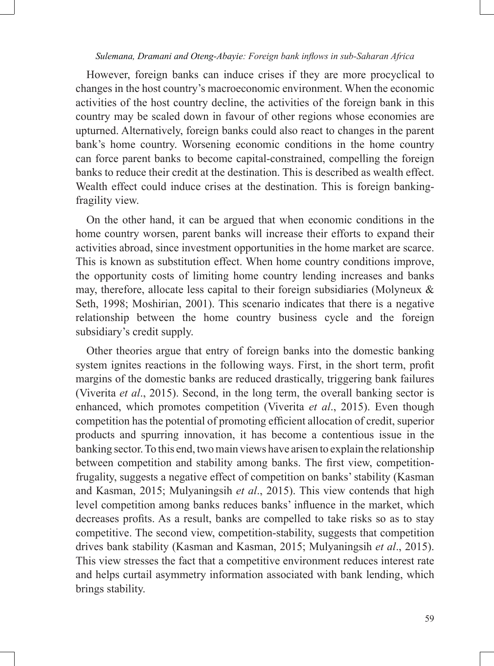However, foreign banks can induce crises if they are more procyclical to changes in the host country's macroeconomic environment. When the economic activities of the host country decline, the activities of the foreign bank in this country may be scaled down in favour of other regions whose economies are upturned. Alternatively, foreign banks could also react to changes in the parent bank's home country. Worsening economic conditions in the home country can force parent banks to become capital-constrained, compelling the foreign banks to reduce their credit at the destination. This is described as wealth effect. Wealth effect could induce crises at the destination. This is foreign bankingfragility view.

On the other hand, it can be argued that when economic conditions in the home country worsen, parent banks will increase their efforts to expand their activities abroad, since investment opportunities in the home market are scarce. This is known as substitution effect. When home country conditions improve, the opportunity costs of limiting home country lending increases and banks may, therefore, allocate less capital to their foreign subsidiaries (Molyneux  $\&$ Seth, 1998; Moshirian, 2001). This scenario indicates that there is a negative relationship between the home country business cycle and the foreign subsidiary's credit supply.

Other theories argue that entry of foreign banks into the domestic banking system ignites reactions in the following ways. First, in the short term, profit margins of the domestic banks are reduced drastically, triggering bank failures (Viverita *et al*., 2015). Second, in the long term, the overall banking sector is enhanced, which promotes competition (Viverita *et al*., 2015). Even though competition has the potential of promoting efficient allocation of credit, superior products and spurring innovation, it has become a contentious issue in the banking sector. To this end, two main views have arisen to explain the relationship between competition and stability among banks. The first view, competitionfrugality, suggests a negative effect of competition on banks' stability (Kasman and Kasman, 2015; Mulyaningsih *et al*., 2015). This view contends that high level competition among banks reduces banks' influence in the market, which decreases profits. As a result, banks are compelled to take risks so as to stay competitive. The second view, competition-stability, suggests that competition drives bank stability (Kasman and Kasman, 2015; Mulyaningsih *et al*., 2015). This view stresses the fact that a competitive environment reduces interest rate and helps curtail asymmetry information associated with bank lending, which brings stability.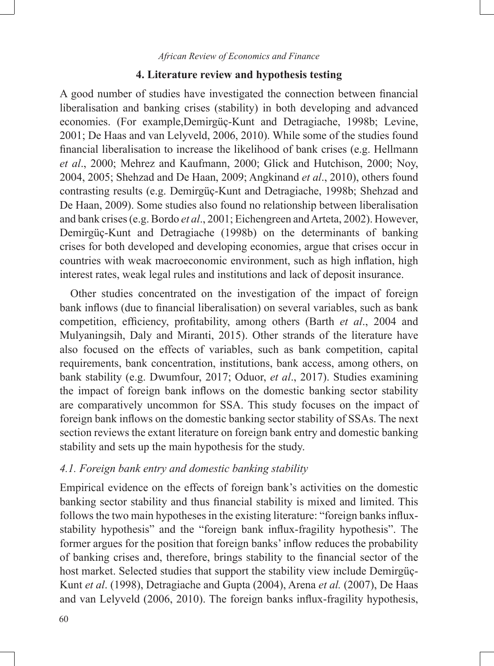#### **4. Literature review and hypothesis testing**

A good number of studies have investigated the connection between financial liberalisation and banking crises (stability) in both developing and advanced economies. (For example,Demirgüç-Kunt and Detragiache, 1998b; Levine, 2001; De Haas and van Lelyveld, 2006, 2010). While some of the studies found financial liberalisation to increase the likelihood of bank crises (e.g. Hellmann *et al*., 2000; Mehrez and Kaufmann, 2000; Glick and Hutchison, 2000; Noy, 2004, 2005; Shehzad and De Haan, 2009; Angkinand *et al*., 2010), others found contrasting results (e.g. Demirgüç-Kunt and Detragiache, 1998b; Shehzad and De Haan, 2009). Some studies also found no relationship between liberalisation and bank crises (e.g. Bordo *et al*., 2001; Eichengreen and Arteta, 2002). However, Demirgüç-Kunt and Detragiache (1998b) on the determinants of banking crises for both developed and developing economies, argue that crises occur in countries with weak macroeconomic environment, such as high inflation, high interest rates, weak legal rules and institutions and lack of deposit insurance.

Other studies concentrated on the investigation of the impact of foreign bank inflows (due to financial liberalisation) on several variables, such as bank competition, efficiency, profitability, among others (Barth *et al*., 2004 and Mulyaningsih, Daly and Miranti, 2015). Other strands of the literature have also focused on the effects of variables, such as bank competition, capital requirements, bank concentration, institutions, bank access, among others, on bank stability (e.g. Dwumfour, 2017; Oduor, *et al*., 2017). Studies examining the impact of foreign bank inflows on the domestic banking sector stability are comparatively uncommon for SSA. This study focuses on the impact of foreign bank inflows on the domestic banking sector stability of SSAs. The next section reviews the extant literature on foreign bank entry and domestic banking stability and sets up the main hypothesis for the study.

## *4.1. Foreign bank entry and domestic banking stability*

Empirical evidence on the effects of foreign bank's activities on the domestic banking sector stability and thus financial stability is mixed and limited. This follows the two main hypotheses in the existing literature: "foreign banks influxstability hypothesis" and the "foreign bank influx-fragility hypothesis". The former argues for the position that foreign banks' inflow reduces the probability of banking crises and, therefore, brings stability to the financial sector of the host market. Selected studies that support the stability view include Demirgüç-Kunt *et al*. (1998), Detragiache and Gupta (2004), Arena *et al.* (2007), De Haas and van Lelyveld (2006, 2010). The foreign banks influx-fragility hypothesis,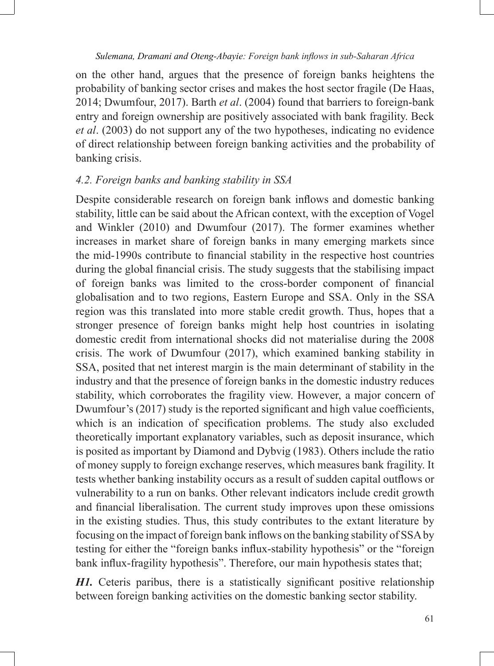on the other hand, argues that the presence of foreign banks heightens the probability of banking sector crises and makes the host sector fragile (De Haas, 2014; Dwumfour, 2017). Barth *et al*. (2004) found that barriers to foreign-bank entry and foreign ownership are positively associated with bank fragility. Beck *et al*. (2003) do not support any of the two hypotheses, indicating no evidence of direct relationship between foreign banking activities and the probability of banking crisis.

## *4.2. Foreign banks and banking stability in SSA*

Despite considerable research on foreign bank inflows and domestic banking stability, little can be said about the African context, with the exception of Vogel and Winkler (2010) and Dwumfour (2017). The former examines whether increases in market share of foreign banks in many emerging markets since the mid-1990s contribute to financial stability in the respective host countries during the global financial crisis. The study suggests that the stabilising impact of foreign banks was limited to the cross-border component of financial globalisation and to two regions, Eastern Europe and SSA. Only in the SSA region was this translated into more stable credit growth. Thus, hopes that a stronger presence of foreign banks might help host countries in isolating domestic credit from international shocks did not materialise during the 2008 crisis. The work of Dwumfour (2017), which examined banking stability in SSA, posited that net interest margin is the main determinant of stability in the industry and that the presence of foreign banks in the domestic industry reduces stability, which corroborates the fragility view. However, a major concern of Dwumfour's (2017) study is the reported significant and high value coefficients, which is an indication of specification problems. The study also excluded theoretically important explanatory variables, such as deposit insurance, which is posited as important by Diamond and Dybvig (1983). Others include the ratio of money supply to foreign exchange reserves, which measures bank fragility. It tests whether banking instability occurs as a result of sudden capital outflows or vulnerability to a run on banks. Other relevant indicators include credit growth and financial liberalisation. The current study improves upon these omissions in the existing studies. Thus, this study contributes to the extant literature by focusing on the impact of foreign bank inflows on the banking stability of SSA by testing for either the "foreign banks influx-stability hypothesis" or the "foreign bank influx-fragility hypothesis". Therefore, our main hypothesis states that;

*H1.* Ceteris paribus, there is a statistically significant positive relationship between foreign banking activities on the domestic banking sector stability.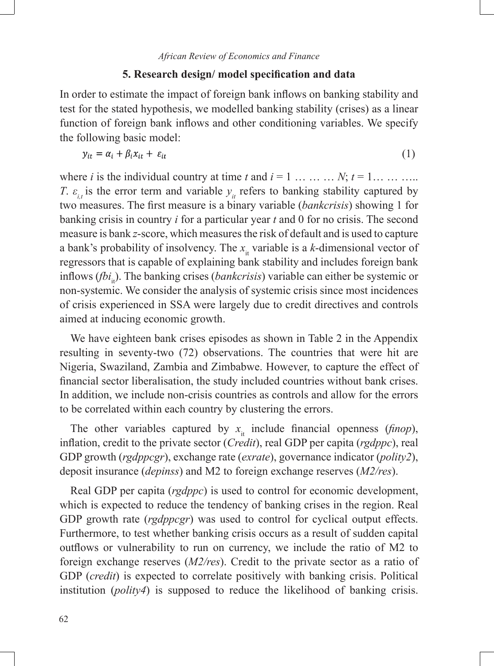#### **5. Research design/ model specification and data**

In order to estimate the impact of foreign bank inflows on banking stability and test for the stated hypothesis, we modelled banking stability (crises) as a linear function of foreign bank inflows and other conditioning variables. We specify the following basic model:

$$
y_{it} = \alpha_i + \beta_i x_{it} + \varepsilon_{it} \tag{1}
$$

where *i* is the individual country at time *t* and  $i = 1, \ldots, N$ ;  $t = 1, \ldots, \ldots$ *T*.  $\varepsilon_i$  is the error term and variable  $y_i$  refers to banking stability captured by two measures. The first measure is a binary variable (*bankcrisis*) showing 1 for banking crisis in country *i* for a particular year *t* and 0 for no crisis. The second measure is bank *z*-score, which measures the risk of default and is used to capture a bank's probability of insolvency. The  $x_i$  variable is a *k*-dimensional vector of regressors that is capable of explaining bank stability and includes foreign bank inflows (*fbi*<sub>i</sub>). The banking crises (*bankcrisis*) variable can either be systemic or non-systemic. We consider the analysis of systemic crisis since most incidences of crisis experienced in SSA were largely due to credit directives and controls aimed at inducing economic growth.

We have eighteen bank crises episodes as shown in Table 2 in the Appendix resulting in seventy-two (72) observations. The countries that were hit are Nigeria, Swaziland, Zambia and Zimbabwe. However, to capture the effect of financial sector liberalisation, the study included countries without bank crises. In addition, we include non-crisis countries as controls and allow for the errors to be correlated within each country by clustering the errors.

The other variables captured by  $x_{i}$  include financial openness (*finop*), infl ation, credit to the private sector (*Credit*), real GDP per capita (*rgdppc*), real GDP growth (*rgdppcgr*), exchange rate (*exrate*), governance indicator (*polity2*), deposit insurance (*depinss*) and M2 to foreign exchange reserves (*M2/res*).

Real GDP per capita (*rgdppc*) is used to control for economic development, which is expected to reduce the tendency of banking crises in the region. Real GDP growth rate (*rgdppcgr*) was used to control for cyclical output effects. Furthermore, to test whether banking crisis occurs as a result of sudden capital outflows or vulnerability to run on currency, we include the ratio of M2 to foreign exchange reserves (*M2/res*). Credit to the private sector as a ratio of GDP (*credit*) is expected to correlate positively with banking crisis. Political institution (*polity4*) is supposed to reduce the likelihood of banking crisis.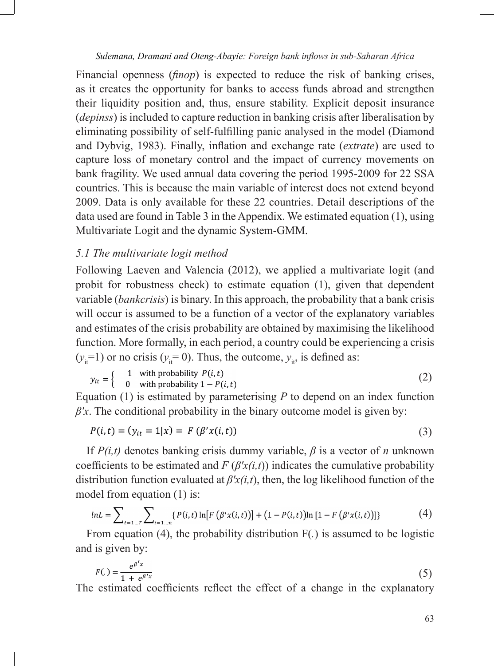Financial openness *(finop)* is expected to reduce the risk of banking crises, as it creates the opportunity for banks to access funds abroad and strengthen their liquidity position and, thus, ensure stability. Explicit deposit insurance (*depinss*) is included to capture reduction in banking crisis after liberalisation by eliminating possibility of self-fulfilling panic analysed in the model (Diamond and Dybvig, 1983). Finally, inflation and exchange rate (*extrate*) are used to capture loss of monetary control and the impact of currency movements on bank fragility. We used annual data covering the period 1995-2009 for 22 SSA countries. This is because the main variable of interest does not extend beyond 2009. Data is only available for these 22 countries. Detail descriptions of the data used are found in Table 3 in the Appendix. We estimated equation (1), using Multivariate Logit and the dynamic System-GMM.

## *5.1 The multivariate logit method*

Following Laeven and Valencia (2012), we applied a multivariate logit (and probit for robustness check) to estimate equation (1), given that dependent variable (*bankcrisis*) is binary. In this approach, the probability that a bank crisis will occur is assumed to be a function of a vector of the explanatory variables and estimates of the crisis probability are obtained by maximising the likelihood function. More formally, in each period, a country could be experiencing a crisis  $(y<sub>i</sub>=1)$  or no crisis  $(y<sub>i</sub>=0)$ . Thus, the outcome,  $y<sub>i</sub>$ , is defined as:

$$
y_{it} = \begin{cases} 1 & \text{with probability } P(i, t) \\ 0 & \text{with probability } 1 - P(i, t) \end{cases}
$$
 (2)

Equation (1) is estimated by parameterising *P* to depend on an index function  $\beta'$ x. The conditional probability in the binary outcome model is given by:

$$
P(i,t) = (y_{it} = 1|x) = F(\beta' x(i,t))
$$
\n(3)

If *P(i,t)* denotes banking crisis dummy variable, *β* is a vector of *n* unknown coefficients to be estimated and  $F(\beta' x(i, t))$  indicates the cumulative probability distribution function evaluated at  $\beta' x(i, t)$ , then, the log likelihood function of the model from equation (1) is:

$$
ln L = \sum_{t=1...T} \sum_{i=1...n} \{P(i,t) \ln [F(\beta' x(i,t))] + (1 - P(i,t)) \ln [1 - F(\beta' x(i,t))]\}
$$
(4)

From equation (4), the probability distribution F(*.*) is assumed to be logistic and is given by:

$$
F(.) = \frac{e^{\beta' x}}{1 + e^{\beta' x}}
$$
 (5)

The estimated coefficients reflect the effect of a change in the explanatory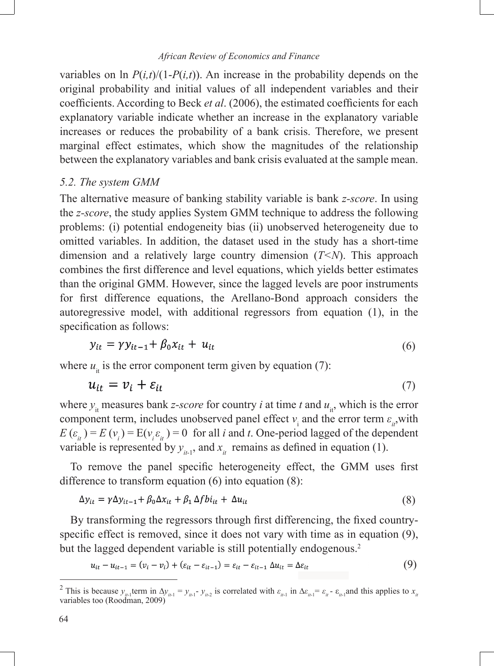variables on ln  $P(i,t)/(1-P(i,t))$ . An increase in the probability depends on the original probability and initial values of all independent variables and their coefficients. According to Beck *et al.* (2006), the estimated coefficients for each explanatory variable indicate whether an increase in the explanatory variable increases or reduces the probability of a bank crisis. Therefore, we present marginal effect estimates, which show the magnitudes of the relationship between the explanatory variables and bank crisis evaluated at the sample mean.

#### *5.2. The system GMM*

The alternative measure of banking stability variable is bank *z-score*. In using the *z-score*, the study applies System GMM technique to address the following problems: (i) potential endogeneity bias (ii) unobserved heterogeneity due to omitted variables. In addition, the dataset used in the study has a short-time dimension and a relatively large country dimension (*T<N*). This approach combines the first difference and level equations, which yields better estimates than the original GMM. However, since the lagged levels are poor instruments for first difference equations, the Arellano-Bond approach considers the autoregressive model, with additional regressors from equation (1), in the specification as follows:

$$
y_{it} = \gamma y_{it-1} + \beta_0 x_{it} + u_{it} \tag{6}
$$

where  $u_{it}$  is the error component term given by equation (7):

$$
u_{it} = v_i + \varepsilon_{it} \tag{7}
$$

where  $y_i$  measures bank *z*-*score* for country *i* at time *t* and  $u_i$ , which is the error component term, includes unobserved panel effect  $v_i$  and the error term  $\varepsilon_{ii}$ , with  $E(\varepsilon_i) = E(v_i) = E(v_i \varepsilon_i) = 0$  for all *i* and *t*. One-period lagged of the dependent variable is represented by  $y_{i}$ , and  $x_i$  remains as defined in equation (1).

To remove the panel specific heterogeneity effect, the GMM uses first difference to transform equation (6) into equation (8):

$$
\Delta y_{it} = \gamma \Delta y_{it-1} + \beta_0 \Delta x_{it} + \beta_1 \Delta f b i_{it} + \Delta u_{it}
$$
\n(8)

By transforming the regressors through first differencing, the fixed countryspecific effect is removed, since it does not vary with time as in equation  $(9)$ , but the lagged dependent variable is still potentially endogenous.<sup>2</sup>

$$
u_{it} - u_{it-1} = (v_i - v_i) + (\varepsilon_{it} - \varepsilon_{it-1}) = \varepsilon_{it} - \varepsilon_{it-1} \Delta u_{it} = \Delta \varepsilon_{it}
$$
\n(9)

<sup>&</sup>lt;sup>2</sup> This is because  $y_{i\ell-1}$  term in  $\Delta y_{i\ell-1} = y_{i\ell-1} - y_{i\ell-2}$  is correlated with  $\varepsilon_{i\ell-1}$  in  $\Delta \varepsilon_{i\ell-1} = \varepsilon_{i\ell} - \varepsilon_{i\ell-1}$  and this applies to  $x_{i\ell}$  variables too (Roodman, 2009)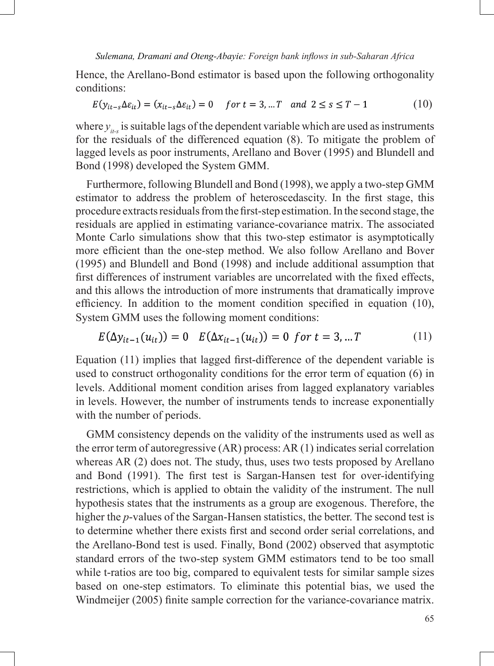Hence, the Arellano-Bond estimator is based upon the following orthogonality conditions:

$$
E(y_{it-s}\Delta\varepsilon_{it}) = (x_{it-s}\Delta\varepsilon_{it}) = 0 \quad \text{for } t = 3, \dots T \quad \text{and } 2 \le s \le T - 1 \tag{10}
$$

where  $y_{i\alpha}$  is suitable lags of the dependent variable which are used as instruments for the residuals of the differenced equation (8). To mitigate the problem of lagged levels as poor instruments, Arellano and Bover (1995) and Blundell and Bond (1998) developed the System GMM.

Furthermore, following Blundell and Bond (1998), we apply a two-step GMM estimator to address the problem of heteroscedascity. In the first stage, this procedure extracts residuals from the first-step estimation. In the second stage, the residuals are applied in estimating variance-covariance matrix. The associated Monte Carlo simulations show that this two-step estimator is asymptotically more efficient than the one-step method. We also follow Arellano and Bover (1995) and Blundell and Bond (1998) and include additional assumption that first differences of instrument variables are uncorrelated with the fixed effects, and this allows the introduction of more instruments that dramatically improve efficiency. In addition to the moment condition specified in equation  $(10)$ , System GMM uses the following moment conditions:

$$
E(\Delta y_{it-1}(u_{it})) = 0 \quad E(\Delta x_{it-1}(u_{it})) = 0 \quad \text{for } t = 3, \dots T \tag{11}
$$

Equation (11) implies that lagged first-difference of the dependent variable is used to construct orthogonality conditions for the error term of equation (6) in levels. Additional moment condition arises from lagged explanatory variables in levels. However, the number of instruments tends to increase exponentially with the number of periods.

GMM consistency depends on the validity of the instruments used as well as the error term of autoregressive (AR) process: AR (1) indicates serial correlation whereas AR (2) does not. The study, thus, uses two tests proposed by Arellano and Bond (1991). The first test is Sargan-Hansen test for over-identifying restrictions, which is applied to obtain the validity of the instrument. The null hypothesis states that the instruments as a group are exogenous. Therefore, the higher the *p*-values of the Sargan-Hansen statistics, the better. The second test is to determine whether there exists first and second order serial correlations, and the Arellano-Bond test is used. Finally, Bond (2002) observed that asymptotic standard errors of the two-step system GMM estimators tend to be too small while t-ratios are too big, compared to equivalent tests for similar sample sizes based on one-step estimators. To eliminate this potential bias, we used the Windmeijer (2005) finite sample correction for the variance-covariance matrix.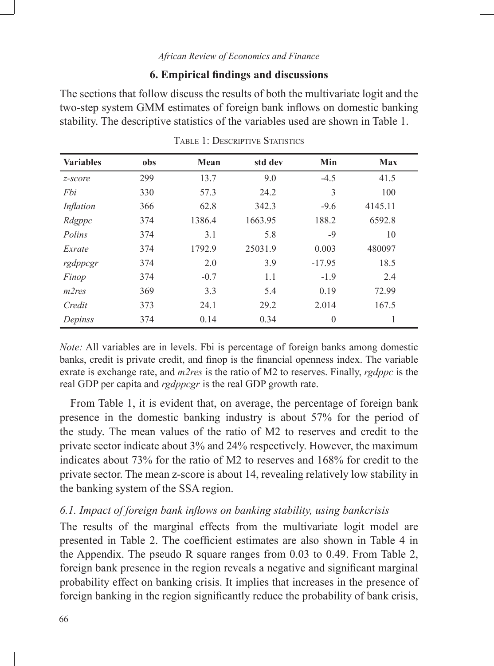#### **6. Empirical findings and discussions**

The sections that follow discuss the results of both the multivariate logit and the two-step system GMM estimates of foreign bank inflows on domestic banking stability. The descriptive statistics of the variables used are shown in Table 1.

| <b>Variables</b> | obs | Mean   | std dev | Min      | <b>Max</b> |
|------------------|-----|--------|---------|----------|------------|
| z-score          | 299 | 13.7   | 9.0     | $-4.5$   | 41.5       |
| Fbi              | 330 | 57.3   | 24.2    | 3        | 100        |
| Inflation        | 366 | 62.8   | 342.3   | $-9.6$   | 4145.11    |
| Rdgppc           | 374 | 1386.4 | 1663.95 | 188.2    | 6592.8     |
| Polins           | 374 | 3.1    | 5.8     | $-9$     | 10         |
| Exrate           | 374 | 1792.9 | 25031.9 | 0.003    | 480097     |
| rgdppcgr         | 374 | 2.0    | 3.9     | $-17.95$ | 18.5       |
| Finop            | 374 | $-0.7$ | 1.1     | $-1.9$   | 2.4        |
| m2res            | 369 | 3.3    | 5.4     | 0.19     | 72.99      |
| Credit           | 373 | 24.1   | 29.2    | 2.014    | 167.5      |
| Depinss          | 374 | 0.14   | 0.34    | $\theta$ | 1          |

TABLE 1: DESCRIPTIVE STATISTICS

*Note:* All variables are in levels. Fbi is percentage of foreign banks among domestic banks, credit is private credit, and finop is the financial openness index. The variable exrate is exchange rate, and *m2res* is the ratio of M2 to reserves. Finally, *rgdppc* is the real GDP per capita and *rgdppcgr* is the real GDP growth rate.

From Table 1, it is evident that, on average, the percentage of foreign bank presence in the domestic banking industry is about 57% for the period of the study. The mean values of the ratio of M2 to reserves and credit to the private sector indicate about 3% and 24% respectively. However, the maximum indicates about 73% for the ratio of M2 to reserves and 168% for credit to the private sector. The mean z-score is about 14, revealing relatively low stability in the banking system of the SSA region.

## *6.1. Impact of foreign bank inflows on banking stability, using bankcrisis*

The results of the marginal effects from the multivariate logit model are presented in Table 2. The coefficient estimates are also shown in Table 4 in the Appendix. The pseudo R square ranges from 0.03 to 0.49. From Table 2, foreign bank presence in the region reveals a negative and significant marginal probability effect on banking crisis. It implies that increases in the presence of foreign banking in the region significantly reduce the probability of bank crisis,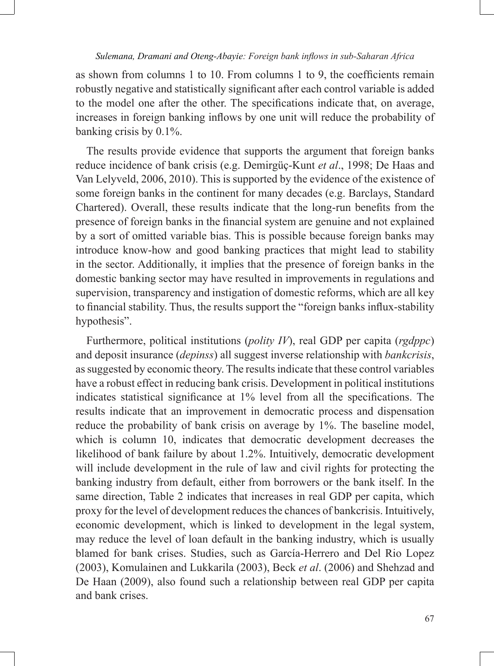as shown from columns 1 to 10. From columns 1 to 9, the coefficients remain robustly negative and statistically significant after each control variable is added to the model one after the other. The specifications indicate that, on average, increases in foreign banking inflows by one unit will reduce the probability of banking crisis by 0.1%.

The results provide evidence that supports the argument that foreign banks reduce incidence of bank crisis (e.g. Demirgüç-Kunt *et al*., 1998; De Haas and Van Lelyveld, 2006, 2010). This is supported by the evidence of the existence of some foreign banks in the continent for many decades (e.g. Barclays, Standard Chartered). Overall, these results indicate that the long-run benefits from the presence of foreign banks in the financial system are genuine and not explained by a sort of omitted variable bias. This is possible because foreign banks may introduce know-how and good banking practices that might lead to stability in the sector. Additionally, it implies that the presence of foreign banks in the domestic banking sector may have resulted in improvements in regulations and supervision, transparency and instigation of domestic reforms, which are all key to financial stability. Thus, the results support the "foreign banks influx-stability hypothesis".

Furthermore, political institutions (*polity IV*), real GDP per capita (*rgdppc*) and deposit insurance (*depinss*) all suggest inverse relationship with *bankcrisis*, as suggested by economic theory. The results indicate that these control variables have a robust effect in reducing bank crisis. Development in political institutions indicates statistical significance at 1% level from all the specifications. The results indicate that an improvement in democratic process and dispensation reduce the probability of bank crisis on average by 1%. The baseline model, which is column 10, indicates that democratic development decreases the likelihood of bank failure by about 1.2%. Intuitively, democratic development will include development in the rule of law and civil rights for protecting the banking industry from default, either from borrowers or the bank itself. In the same direction, Table 2 indicates that increases in real GDP per capita, which proxy for the level of development reduces the chances of bankcrisis. Intuitively, economic development, which is linked to development in the legal system, may reduce the level of loan default in the banking industry, which is usually blamed for bank crises. Studies, such as García-Herrero and Del Rio Lopez (2003), Komulainen and Lukkarila (2003), Beck *et al*. (2006) and Shehzad and De Haan (2009), also found such a relationship between real GDP per capita and bank crises.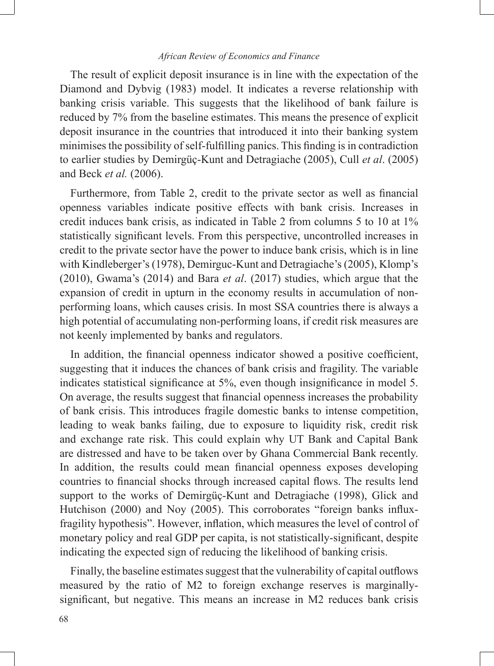The result of explicit deposit insurance is in line with the expectation of the Diamond and Dybvig (1983) model. It indicates a reverse relationship with banking crisis variable. This suggests that the likelihood of bank failure is reduced by 7% from the baseline estimates. This means the presence of explicit deposit insurance in the countries that introduced it into their banking system minimises the possibility of self-fulfilling panics. This finding is in contradiction to earlier studies by Demirgüç-Kunt and Detragiache (2005), Cull *et al*. (2005) and Beck *et al.* (2006).

Furthermore, from Table 2, credit to the private sector as well as financial openness variables indicate positive effects with bank crisis. Increases in credit induces bank crisis, as indicated in Table 2 from columns 5 to 10 at 1% statistically significant levels. From this perspective, uncontrolled increases in credit to the private sector have the power to induce bank crisis, which is in line with Kindleberger's (1978), Demirguc-Kunt and Detragiache's (2005), Klomp's (2010), Gwama's (2014) and Bara *et al*. (2017) studies, which argue that the expansion of credit in upturn in the economy results in accumulation of nonperforming loans, which causes crisis. In most SSA countries there is always a high potential of accumulating non-performing loans, if credit risk measures are not keenly implemented by banks and regulators.

In addition, the financial openness indicator showed a positive coefficient, suggesting that it induces the chances of bank crisis and fragility. The variable indicates statistical significance at 5%, even though insignificance in model 5. On average, the results suggest that financial openness increases the probability of bank crisis. This introduces fragile domestic banks to intense competition, leading to weak banks failing, due to exposure to liquidity risk, credit risk and exchange rate risk. This could explain why UT Bank and Capital Bank are distressed and have to be taken over by Ghana Commercial Bank recently. In addition, the results could mean financial openness exposes developing countries to financial shocks through increased capital flows. The results lend support to the works of Demirgüç-Kunt and Detragiache (1998), Glick and Hutchison (2000) and Noy (2005). This corroborates "foreign banks influxfragility hypothesis". However, inflation, which measures the level of control of monetary policy and real GDP per capita, is not statistically-significant, despite indicating the expected sign of reducing the likelihood of banking crisis.

Finally, the baseline estimates suggest that the vulnerability of capital outflows measured by the ratio of M2 to foreign exchange reserves is marginallysignificant, but negative. This means an increase in M2 reduces bank crisis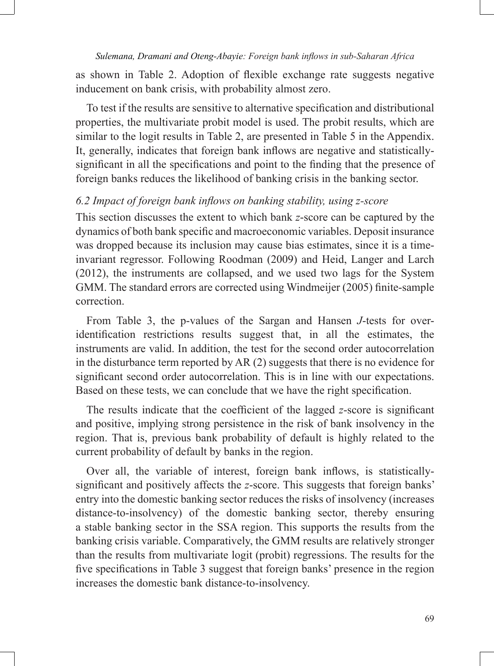as shown in Table 2. Adoption of flexible exchange rate suggests negative inducement on bank crisis, with probability almost zero.

To test if the results are sensitive to alternative specification and distributional properties, the multivariate probit model is used. The probit results, which are similar to the logit results in Table 2, are presented in Table 5 in the Appendix. It, generally, indicates that foreign bank inflows are negative and statisticallysignificant in all the specifications and point to the finding that the presence of foreign banks reduces the likelihood of banking crisis in the banking sector.

## *6.2 Impact of foreign bank inflows on banking stability, using z-score*

This section discusses the extent to which bank *z*-score can be captured by the dynamics of both bank specific and macroeconomic variables. Deposit insurance was dropped because its inclusion may cause bias estimates, since it is a timeinvariant regressor. Following Roodman (2009) and Heid, Langer and Larch (2012), the instruments are collapsed, and we used two lags for the System GMM. The standard errors are corrected using Windmeijer (2005) finite-sample correction.

From Table 3, the p-values of the Sargan and Hansen *J*-tests for overidentification restrictions results suggest that, in all the estimates, the instruments are valid. In addition, the test for the second order autocorrelation in the disturbance term reported by AR (2) suggests that there is no evidence for significant second order autocorrelation. This is in line with our expectations. Based on these tests, we can conclude that we have the right specification.

The results indicate that the coefficient of the lagged *z*-score is significant and positive, implying strong persistence in the risk of bank insolvency in the region. That is, previous bank probability of default is highly related to the current probability of default by banks in the region.

Over all, the variable of interest, foreign bank inflows, is statisticallysignificant and positively affects the *z*-score. This suggests that foreign banks' entry into the domestic banking sector reduces the risks of insolvency (increases distance-to-insolvency) of the domestic banking sector, thereby ensuring a stable banking sector in the SSA region. This supports the results from the banking crisis variable. Comparatively, the GMM results are relatively stronger than the results from multivariate logit (probit) regressions. The results for the five specifications in Table 3 suggest that foreign banks' presence in the region increases the domestic bank distance-to-insolvency.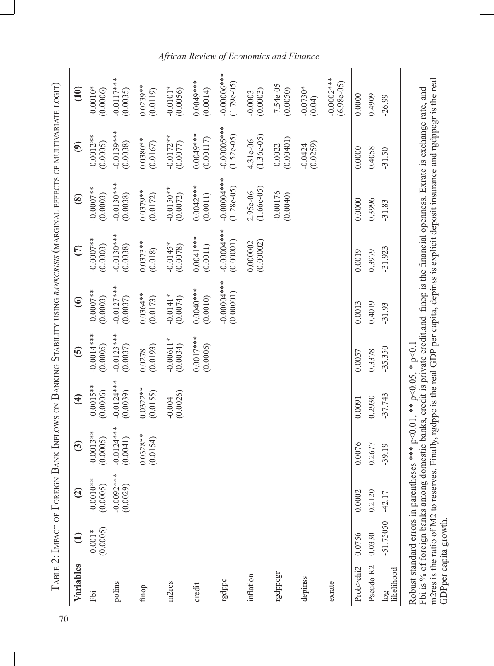| Variables                                    | $\ominus$             | $\widehat{\mathbf{c}}$                                               | ි                        | $\bigoplus$              | <u> ව</u>                | $\odot$                    | $\overline{\epsilon}$                                                                                                                                                                                                                                                                           | $\circledast$               | ම                           | $\overline{10}$                |
|----------------------------------------------|-----------------------|----------------------------------------------------------------------|--------------------------|--------------------------|--------------------------|----------------------------|-------------------------------------------------------------------------------------------------------------------------------------------------------------------------------------------------------------------------------------------------------------------------------------------------|-----------------------------|-----------------------------|--------------------------------|
| Fbi                                          | (0.0005)<br>$-0.001*$ | $-0.0010**$<br>(0.0005)                                              | $-0.0013**$<br>(0.0005)  | $-0.0015**$<br>(0.0006)  | $-0.0014**$<br>(0.0005)  | $-0.0007$ **<br>(0.0003)   | $-0.0007**$<br>(0.0003)                                                                                                                                                                                                                                                                         | $-0.0007$ **<br>(0.0003)    | $-0.0012**$<br>(0.0005)     | $-0.0010*$<br>(0.0006)         |
| polins                                       |                       | $-0.0092***$<br>(0.0029)                                             | $-0.0124***$<br>(0.0041) | $-0.0124***$<br>(0.0039) | $-0.0123***$<br>(0.0037) | $-0.0127***$<br>(0.0037)   | $-0.0130***$<br>(0.0038)                                                                                                                                                                                                                                                                        | $-0.0130***$<br>(0.0038)    | $-0.0139***$<br>(0.0038)    | $-0.0117***$<br>(0.0035)       |
| finop                                        |                       |                                                                      | $0.0328**$<br>(0.0154)   | $0.0322**$<br>(0.0155)   | (0.0193)<br>0.0278       | 0.0364**<br>(0.0173)       | $0.0373**$<br>(0.018)                                                                                                                                                                                                                                                                           | $0.0379**$<br>(0.0172)      | $0.0380**$<br>(0.0167)      | $0.0239**$<br>(0.0119)         |
| m2res                                        |                       |                                                                      |                          | (0.0026)<br>$-0.004$     | $-0.00611*$<br>(0.0034)  | $-0.0141*$<br>(0.0074)     | $-0.0145*$<br>(0.0078)                                                                                                                                                                                                                                                                          | $-0.0150**$<br>(0.0072)     | $-0.0172**$<br>(0.0077)     | $-0.0101*$<br>(0.0056)         |
| credit                                       |                       |                                                                      |                          |                          | $0.0017***$<br>(0.0006)  | $0.0040**$<br>(0.0010)     | $0.0041***$<br>(0.0011)                                                                                                                                                                                                                                                                         | $0.0042***$<br>(0.0011)     | 0.0049***<br>(0.00117)      | 0.0049***<br>(0.0014)          |
| rgdppc                                       |                       |                                                                      |                          |                          |                          | $-0.00004***$<br>(0.00001) | $-0.00007$ ***<br>(0.00001)                                                                                                                                                                                                                                                                     | $-0.0000$<br>$(1.28e-05)$   | $-0.00000$<br>$(1.52e-05)$  | $-0.00006$ ***<br>$(1.79e-05)$ |
| inflation                                    |                       |                                                                      |                          |                          |                          |                            | (0.00002)<br>0.000002                                                                                                                                                                                                                                                                           | $(1.66e-0.5)$<br>$2.95e-06$ | $(1.36e-0.5)$<br>$4.31e-06$ | (0.0003)<br>$-0.0003$          |
| rgdppcgr                                     |                       |                                                                      |                          |                          |                          |                            |                                                                                                                                                                                                                                                                                                 | $-0.00176$<br>(0.0040)      | (0.00401)<br>$-0.0022$      | $-7.54e-05$<br>(0.0050)        |
| depinss                                      |                       |                                                                      |                          |                          |                          |                            |                                                                                                                                                                                                                                                                                                 |                             | (0.0259)<br>$-0.0424$       | $-0.0730*$<br>(0.04)           |
| exrate                                       |                       |                                                                      |                          |                          |                          |                            |                                                                                                                                                                                                                                                                                                 |                             |                             | $-0.0002$ ***<br>$(6.98e-05)$  |
| Prob>chi2                                    | 0.0756                | 0.0002                                                               | 0.0076                   | 0.0091                   | 0.0057                   | 0.0013                     | 0.0019                                                                                                                                                                                                                                                                                          | 0.0000                      | 0.0000                      | 0.0000                         |
| Pseudo R2<br>likelihood<br>$\overline{\log}$ | -51.75050<br>0.0330   | 0.2120<br>$-42.17$                                                   | 0.2677<br>$-39.19$       | $-37.743$<br>0.2930      | $-35.350$<br>0.3378      | 0.4019<br>$-31.93$         | $-31.923$<br>0.3979                                                                                                                                                                                                                                                                             | 0.3996<br>$-31.83$          | 0.4058<br>$-31.50$          | 0.4909<br>$-26.99$             |
|                                              | GDPper capita growth. | Robust standard errors in parentheses *** p<0.01, ** p<0.05, * p<0.1 |                          |                          |                          |                            | m2res is the ratio of M2 to reserves. Finally, rgdppc is the real GDP per capita, depinss is explicit deposit insurance and rgdppcgr is the real<br>Fbi is % of foreign banks among domestic banks, credit is private credit, and finop is the financial openness. Exrate is exchange rate, and |                             |                             |                                |

# *African Review of Economics and Finance*

70

J.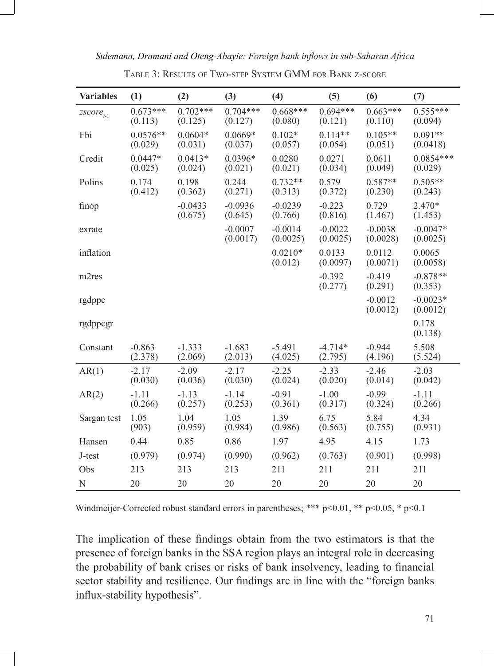| Sulemana, Dramani and Oteng-Abayie: Foreign bank inflows in sub-Saharan Africa |  |  |  |
|--------------------------------------------------------------------------------|--|--|--|
|--------------------------------------------------------------------------------|--|--|--|

| <b>Variables</b>        | (1)                   | (2)                   | (3)                   | (4)                   | (5)                   | (6)                   | (7)                    |
|-------------------------|-----------------------|-----------------------|-----------------------|-----------------------|-----------------------|-----------------------|------------------------|
| $\mathit{zscore}_{t-1}$ | $0.673***$<br>(0.113) | $0.702***$<br>(0.125) | $0.704***$<br>(0.127) | $0.668***$<br>(0.080) | $0.694***$<br>(0.121) | $0.663***$<br>(0.110) | $0.555***$<br>(0.094)  |
| Fbi                     | $0.0576**$<br>(0.029) | $0.0604*$<br>(0.031)  | $0.0669*$<br>(0.037)  | $0.102*$<br>(0.057)   | $0.114**$<br>(0.054)  | $0.105**$<br>(0.051)  | $0.091**$<br>(0.0418)  |
| Credit                  | $0.0447*$<br>(0.025)  | $0.0413*$<br>(0.024)  | 0.0396*<br>(0.021)    | 0.0280<br>(0.021)     | 0.0271<br>(0.034)     | 0.0611<br>(0.049)     | $0.0854***$<br>(0.029) |
| Polins                  | 0.174<br>(0.412)      | 0.198<br>(0.362)      | 0.244<br>(0.271)      | $0.732**$<br>(0.313)  | 0.579<br>(0.372)      | $0.587**$<br>(0.230)  | $0.505**$<br>(0.243)   |
| finop                   |                       | $-0.0433$<br>(0.675)  | $-0.0936$<br>(0.645)  | $-0.0239$<br>(0.766)  | $-0.223$<br>(0.816)   | 0.729<br>(1.467)      | 2.470*<br>(1.453)      |
| exrate                  |                       |                       | $-0.0007$<br>(0.0017) | $-0.0014$<br>(0.0025) | $-0.0022$<br>(0.0025) | $-0.0038$<br>(0.0028) | $-0.0047*$<br>(0.0025) |
| inflation               |                       |                       |                       | $0.0210*$<br>(0.012)  | 0.0133<br>(0.0097)    | 0.0112<br>(0.0071)    | 0.0065<br>(0.0058)     |
| m2res                   |                       |                       |                       |                       | $-0.392$<br>(0.277)   | $-0.419$<br>(0.291)   | $-0.878**$<br>(0.353)  |
| rgdppc                  |                       |                       |                       |                       |                       | $-0.0012$<br>(0.0012) | $-0.0023*$<br>(0.0012) |
| rgdppcgr                |                       |                       |                       |                       |                       |                       | 0.178<br>(0.138)       |
| Constant                | $-0.863$<br>(2.378)   | $-1.333$<br>(2.069)   | $-1.683$<br>(2.013)   | $-5.491$<br>(4.025)   | $-4.714*$<br>(2.795)  | $-0.944$<br>(4.196)   | 5.508<br>(5.524)       |
| AR(1)                   | $-2.17$<br>(0.030)    | $-2.09$<br>(0.036)    | $-2.17$<br>(0.030)    | $-2.25$<br>(0.024)    | $-2.33$<br>(0.020)    | $-2.46$<br>(0.014)    | $-2.03$<br>(0.042)     |
| AR(2)                   | $-1.11$<br>(0.266)    | $-1.13$<br>(0.257)    | $-1.14$<br>(0.253)    | $-0.91$<br>(0.361)    | $-1.00$<br>(0.317)    | $-0.99$<br>(0.324)    | $-1.11$<br>(0.266)     |
| Sargan test             | 1.05<br>(903)         | 1.04<br>(0.959)       | 1.05<br>(0.984)       | 1.39<br>(0.986)       | 6.75<br>(0.563)       | 5.84<br>(0.755)       | 4.34<br>(0.931)        |
| Hansen                  | 0.44                  | 0.85                  | 0.86                  | 1.97                  | 4.95                  | 4.15                  | 1.73                   |
| J-test                  | (0.979)               | (0.974)               | (0.990)               | (0.962)               | (0.763)               | (0.901)               | (0.998)                |
| Obs                     | 213                   | 213                   | 213                   | 211                   | 211                   | 211                   | 211                    |
| N                       | 20                    | 20                    | 20                    | 20                    | 20                    | 20                    | 20                     |

Table 3: Results of Two-step System GMM for Bank z-score

Windmeijer-Corrected robust standard errors in parentheses; \*\*\* p<0.01, \*\* p<0.05, \* p<0.1

The implication of these findings obtain from the two estimators is that the presence of foreign banks in the SSA region plays an integral role in decreasing the probability of bank crises or risks of bank insolvency, leading to financial sector stability and resilience. Our findings are in line with the "foreign banks influx-stability hypothesis".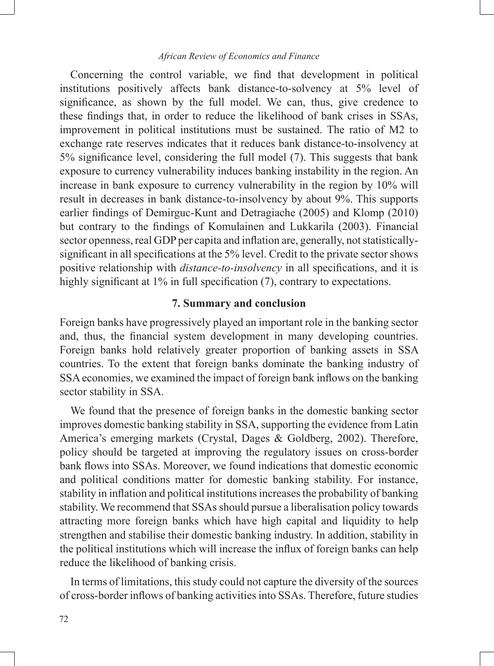Concerning the control variable, we find that development in political institutions positively affects bank distance-to-solvency at 5% level of significance, as shown by the full model. We can, thus, give credence to these findings that, in order to reduce the likelihood of bank crises in SSAs, improvement in political institutions must be sustained. The ratio of M2 to exchange rate reserves indicates that it reduces bank distance-to-insolvency at 5% significance level, considering the full model (7). This suggests that bank exposure to currency vulnerability induces banking instability in the region. An increase in bank exposure to currency vulnerability in the region by 10% will result in decreases in bank distance-to-insolvency by about 9%. This supports earlier findings of Demirguc-Kunt and Detragiache (2005) and Klomp (2010) but contrary to the findings of Komulainen and Lukkarila (2003). Financial sector openness, real GDP per capita and inflation are, generally, not statisticallysignificant in all specifications at the 5% level. Credit to the private sector shows positive relationship with *distance-to-insolvency* in all specifications, and it is highly significant at 1% in full specification (7), contrary to expectations.

# **7. Summary and conclusion**

Foreign banks have progressively played an important role in the banking sector and, thus, the financial system development in many developing countries. Foreign banks hold relatively greater proportion of banking assets in SSA countries. To the extent that foreign banks dominate the banking industry of SSA economies, we examined the impact of foreign bank inflows on the banking sector stability in SSA.

We found that the presence of foreign banks in the domestic banking sector improves domestic banking stability in SSA, supporting the evidence from Latin America's emerging markets (Crystal, Dages & Goldberg, 2002). Therefore, policy should be targeted at improving the regulatory issues on cross-border bank flows into SSAs. Moreover, we found indications that domestic economic and political conditions matter for domestic banking stability. For instance, stability in inflation and political institutions increases the probability of banking stability. We recommend that SSAs should pursue a liberalisation policy towards attracting more foreign banks which have high capital and liquidity to help strengthen and stabilise their domestic banking industry. In addition, stability in the political institutions which will increase the influx of foreign banks can help reduce the likelihood of banking crisis.

In terms of limitations, this study could not capture the diversity of the sources of cross-border inflows of banking activities into SSAs. Therefore, future studies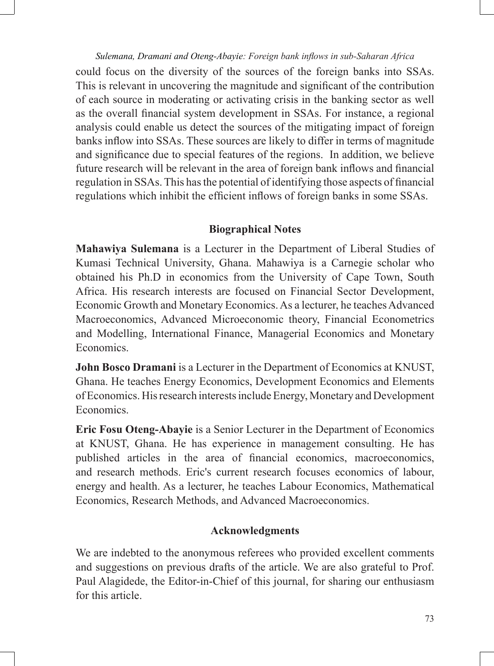could focus on the diversity of the sources of the foreign banks into SSAs. This is relevant in uncovering the magnitude and significant of the contribution of each source in moderating or activating crisis in the banking sector as well as the overall financial system development in SSAs. For instance, a regional analysis could enable us detect the sources of the mitigating impact of foreign banks inflow into SSAs. These sources are likely to differ in terms of magnitude and significance due to special features of the regions. In addition, we believe future research will be relevant in the area of foreign bank inflows and financial regulation in SSAs. This has the potential of identifying those aspects of financial regulations which inhibit the efficient inflows of foreign banks in some SSAs.

# **Biographical Notes**

**Mahawiya Sulemana** is a Lecturer in the Department of Liberal Studies of Kumasi Technical University, Ghana. Mahawiya is a Carnegie scholar who obtained his Ph.D in economics from the University of Cape Town, South Africa. His research interests are focused on Financial Sector Development, Economic Growth and Monetary Economics. As a lecturer, he teaches Advanced Macroeconomics, Advanced Microeconomic theory, Financial Econometrics and Modelling, International Finance, Managerial Economics and Monetary Economics.

**John Bosco Dramani** is a Lecturer in the Department of Economics at KNUST, Ghana. He teaches Energy Economics, Development Economics and Elements of Economics. His research interests include Energy, Monetary and Development Economics.

**Eric Fosu Oteng-Abayie** is a Senior Lecturer in the Department of Economics at KNUST, Ghana. He has experience in management consulting. He has published articles in the area of financial economics, macroeconomics, and research methods. Eric's current research focuses economics of labour, energy and health. As a lecturer, he teaches Labour Economics, Mathematical Economics, Research Methods, and Advanced Macroeconomics.

# **Acknowledgments**

We are indebted to the anonymous referees who provided excellent comments and suggestions on previous drafts of the article. We are also grateful to Prof. Paul Alagidede, the Editor-in-Chief of this journal, for sharing our enthusiasm for this article.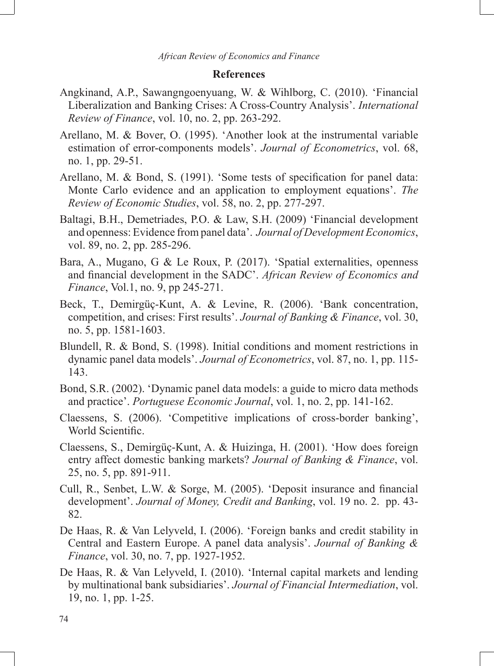## **References**

- Angkinand, A.P., Sawangngoenyuang, W. & Wihlborg, C. (2010). 'Financial Liberalization and Banking Crises: A Cross-Country Analysis'. *International Review of Finance*, vol. 10, no. 2, pp. 263-292.
- Arellano, M. & Bover, O. (1995). 'Another look at the instrumental variable estimation of error-components models'. *Journal of Econometrics*, vol. 68, no. 1, pp. 29-51.
- Arellano, M. & Bond, S. (1991). 'Some tests of specification for panel data: Monte Carlo evidence and an application to employment equations'. *The Review of Economic Studies*, vol. 58, no. 2, pp. 277-297.
- Baltagi, B.H., Demetriades, P.O. & Law, S.H. (2009) 'Financial development and openness: Evidence from panel data'. *Journal of Development Economics*, vol. 89, no. 2, pp. 285-296.
- Bara, A., Mugano, G & Le Roux, P. (2017). 'Spatial externalities, openness and financial development in the SADC'. *African Review of Economics and Finance*, *Vol.1*, no. 9, pp 245-271.
- Beck, T., Demirgüç-Kunt, A. & Levine, R. (2006). 'Bank concentration, competition, and crises: First results'. *Journal of Banking & Finance*, vol. 30, no. 5, pp. 1581-1603.
- Blundell, R. & Bond, S. (1998). Initial conditions and moment restrictions in dynamic panel data models'. *Journal of Econometrics*, vol. 87, no. 1, pp. 115- 143.
- Bond, S.R. (2002). 'Dynamic panel data models: a guide to micro data methods and practice'. *Portuguese Economic Journal*, vol. 1, no. 2, pp. 141-162.
- Claessens, S. (2006). 'Competitive implications of cross-border banking', World Scientific.
- Claessens, S., Demirgüç-Kunt, A. & Huizinga, H. (2001). 'How does foreign entry affect domestic banking markets? *Journal of Banking & Finance*, vol. 25, no. 5, pp. 891-911.
- Cull, R., Senbet, L.W. & Sorge, M. (2005). 'Deposit insurance and financial development'. *Journal of Money, Credit and Banking*, vol. 19 no. 2. pp. 43- 82.
- De Haas, R. & Van Lelyveld, I. (2006). 'Foreign banks and credit stability in Central and Eastern Europe. A panel data analysis'. *Journal of Banking & Finance*, vol. 30, no. 7, pp. 1927-1952.
- De Haas, R. & Van Lelyveld, I. (2010). 'Internal capital markets and lending by multinational bank subsidiaries'. *Journal of Financial Intermediation*, vol. 19, no. 1, pp. 1-25.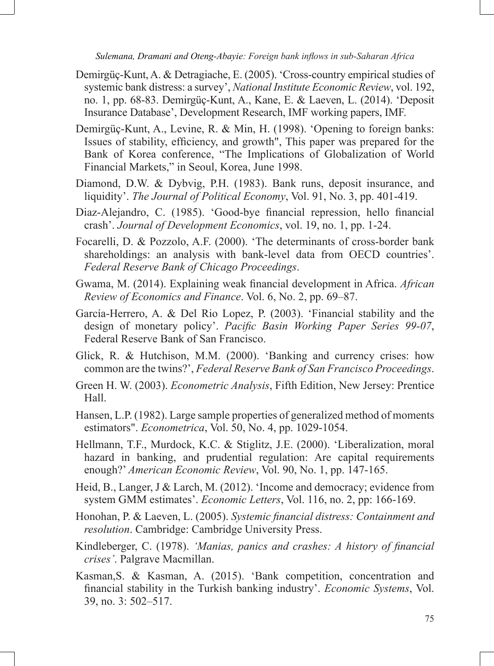- Demirgüç-Kunt, A. & Detragiache, E. (2005). 'Cross-country empirical studies of systemic bank distress: a survey', *National Institute Economic Review*, vol. 192, no. 1, pp. 68-83. Demirgüç-Kunt, A., Kane, E. & Laeven, L. (2014). 'Deposit Insurance Database', Development Research, IMF working papers, IMF.
- Demirgüç-Kunt, A., Levine, R. & Min, H. (1998). 'Opening to foreign banks: Issues of stability, efficiency, and growth", This paper was prepared for the Bank of Korea conference, "The Implications of Globalization of World Financial Markets," in Seoul, Korea, June 1998.
- Diamond, D.W. & Dybvig, P.H. (1983). Bank runs, deposit insurance, and liquidity'. *The Journal of Political Economy*, Vol. 91, No. 3, pp. 401-419.
- Diaz-Alejandro, C. (1985). 'Good-bye financial repression, hello financial crash'. *Journal of Development Economics*, vol. 19, no. 1, pp. 1-24.
- Focarelli, D. & Pozzolo, A.F. (2000). 'The determinants of cross-border bank shareholdings: an analysis with bank-level data from OECD countries'. *Federal Reserve Bank of Chicago Proceedings*.
- Gwama, M. (2014). Explaining weak financial development in Africa. *African Review of Economics and Finance*. Vol. 6, No. 2, pp. 69–87.
- García-Herrero, A. & Del Rio Lopez, P. (2003). 'Financial stability and the design of monetary policy'. *Pacific Basin Working Paper Series 99-07*, Federal Reserve Bank of San Francisco.
- Glick, R. & Hutchison, M.M. (2000). 'Banking and currency crises: how common are the twins?', *Federal Reserve Bank of San Francisco Proceedings*.
- Green H. W. (2003). *Econometric Analysis*, Fifth Edition, New Jersey: Prentice Hall.
- Hansen, L.P. (1982). Large sample properties of generalized method of moments estimators". *Econometrica*, Vol. 50, No. 4, pp. 1029-1054.
- Hellmann, T.F., Murdock, K.C. & Stiglitz, J.E. (2000). 'Liberalization, moral hazard in banking, and prudential regulation: Are capital requirements enough?' *American Economic Review*, Vol. 90, No. 1, pp. 147-165.
- Heid, B., Langer, J & Larch, M. (2012). 'Income and democracy; evidence from system GMM estimates'. *Economic Letters*, Vol. 116, no. 2, pp: 166-169.
- Honohan, P. & Laeven, L. (2005). *Systemic financial distress: Containment and resolution*. Cambridge: Cambridge University Press.
- Kindleberger, C. (1978). *'Manias, panics and crashes: A history of financial crises'*. Palgrave Macmillan.
- Kasman,S. & Kasman, A. (2015). 'Bank competition, concentration and financial stability in the Turkish banking industry'. *Economic Systems*, Vol. 39, no. 3: 502–517.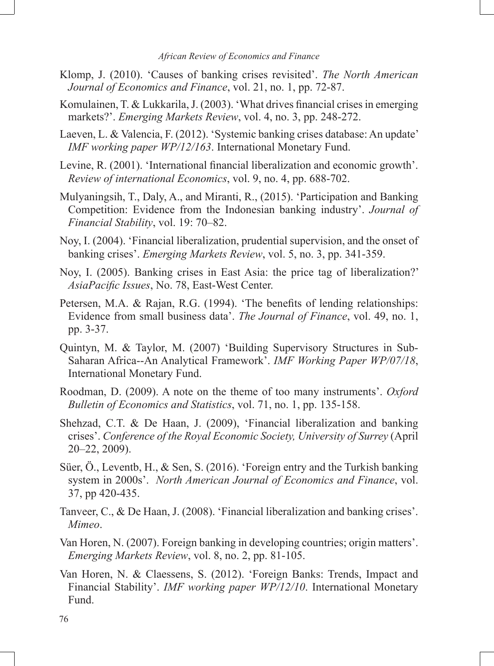- Klomp, J. (2010). 'Causes of banking crises revisited'. *The North American Journal of Economics and Finance*, vol. 21, no. 1, pp. 72-87.
- Komulainen, T. & Lukkarila, J. (2003). 'What drives financial crises in emerging markets?'. *Emerging Markets Review*, vol. 4, no. 3, pp. 248-272.
- Laeven, L. & Valencia, F. (2012). 'Systemic banking crises database: An update' *IMF working paper WP/12/163*. International Monetary Fund.
- Levine, R. (2001). 'International financial liberalization and economic growth'. *Review of international Economics*, vol. 9, no. 4, pp. 688-702.
- Mulyaningsih, T., Daly, A., and Miranti, R., (2015). 'Participation and Banking Competition: Evidence from the Indonesian banking industry'. *Journal of Financial Stability*, vol. 19: 70–82.
- Noy, I. (2004). 'Financial liberalization, prudential supervision, and the onset of banking crises'. *Emerging Markets Review*, vol. 5, no. 3, pp. 341-359.
- Noy, I. (2005). Banking crises in East Asia: the price tag of liberalization?' *AsiaPacific Issues*, No. 78, East-West Center.
- Petersen, M.A. & Rajan, R.G. (1994). 'The benefits of lending relationships: Evidence from small business data'. *The Journal of Finance*, vol. 49, no. 1, pp. 3-37.
- Quintyn, M. & Taylor, M. (2007) 'Building Supervisory Structures in Sub-Saharan Africa--An Analytical Framework'. *IMF Working Paper WP/07/18*, International Monetary Fund.
- Roodman, D. (2009). A note on the theme of too many instruments'. *Oxford Bulletin of Economics and Statistics*, vol. 71, no. 1, pp. 135-158.
- Shehzad, C.T. & De Haan, J. (2009), 'Financial liberalization and banking crises'. *Conference of the Royal Economic Society, University of Surrey* (April 20–22, 2009).
- Süer, Ö., Leventb, H., & Sen, S. (2016). 'Foreign entry and the Turkish banking system in 2000s'. *North American Journal of Economics and Finance*, vol. 37, pp 420-435.
- Tanveer, C., & De Haan, J. (2008). 'Financial liberalization and banking crises'. *Mimeo*.
- Van Horen, N. (2007). Foreign banking in developing countries; origin matters'. *Emerging Markets Review*, vol. 8, no. 2, pp. 81-105.
- Van Horen, N. & Claessens, S. (2012). 'Foreign Banks: Trends, Impact and Financial Stability'. *IMF working paper WP/12/10*. International Monetary Fund.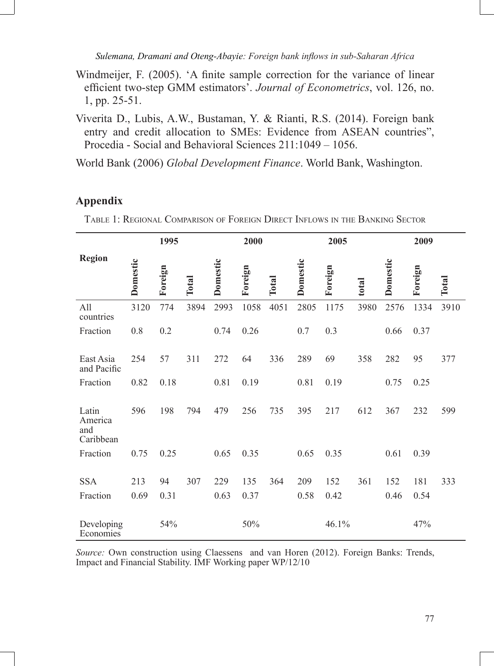- Windmeijer, F. (2005). 'A finite sample correction for the variance of linear efficient two-step GMM estimators'. *Journal of Econometrics*, vol. 126, no. 1, pp. 25-51.
- Viverita D., Lubis, A.W., Bustaman, Y. & Rianti, R.S. (2014). Foreign bank entry and credit allocation to SMEs: Evidence from ASEAN countries", Procedia - Social and Behavioral Sciences 211:1049 – 1056.

World Bank (2006) *Global Development Finance*. World Bank, Washington.

# **Appendix**

Table 1: Regional Comparison of Foreign Direct Inflows in the Banking Sector

|                                      |          | 1995    |       |                 | 2000    |       |          | 2005    |       |          | 2009    |       |
|--------------------------------------|----------|---------|-------|-----------------|---------|-------|----------|---------|-------|----------|---------|-------|
| <b>Region</b>                        | Domestic | Foreign | Total | <b>Domestic</b> | Foreign | Total | Domestic | Foreign | total | Domestic | Foreign | Total |
| All<br>countries                     | 3120     | 774     | 3894  | 2993            | 1058    | 4051  | 2805     | 1175    | 3980  | 2576     | 1334    | 3910  |
| Fraction                             | 0.8      | 0.2     |       | 0.74            | 0.26    |       | 0.7      | 0.3     |       | 0.66     | 0.37    |       |
| East Asia<br>and Pacific             | 254      | 57      | 311   | 272             | 64      | 336   | 289      | 69      | 358   | 282      | 95      | 377   |
| Fraction                             | 0.82     | 0.18    |       | 0.81            | 0.19    |       | 0.81     | 0.19    |       | 0.75     | 0.25    |       |
| Latin<br>America<br>and<br>Caribbean | 596      | 198     | 794   | 479             | 256     | 735   | 395      | 217     | 612   | 367      | 232     | 599   |
| Fraction                             | 0.75     | 0.25    |       | 0.65            | 0.35    |       | 0.65     | 0.35    |       | 0.61     | 0.39    |       |
| <b>SSA</b>                           | 213      | 94      | 307   | 229             | 135     | 364   | 209      | 152     | 361   | 152      | 181     | 333   |
| Fraction                             | 0.69     | 0.31    |       | 0.63            | 0.37    |       | 0.58     | 0.42    |       | 0.46     | 0.54    |       |
| Developing<br>Economies              |          | 54%     |       |                 | 50%     |       |          | 46.1%   |       |          | 47%     |       |

*Source:* Own construction using Claessens and van Horen (2012). Foreign Banks: Trends, Impact and Financial Stability. IMF Working paper WP/12/10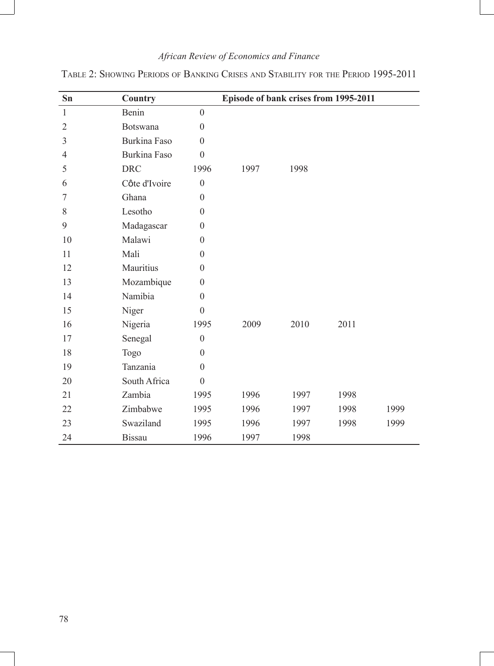| $S_{n}$      | Country         |                  | Episode of bank crises from 1995-2011 |      |      |      |
|--------------|-----------------|------------------|---------------------------------------|------|------|------|
| $\mathbf{1}$ | Benin           | $\mathbf{0}$     |                                       |      |      |      |
| 2            | <b>Botswana</b> | $\theta$         |                                       |      |      |      |
| 3            | Burkina Faso    | $\theta$         |                                       |      |      |      |
| 4            | Burkina Faso    | $\theta$         |                                       |      |      |      |
| 5            | <b>DRC</b>      | 1996             | 1997                                  | 1998 |      |      |
| 6            | Côte d'Ivoire   | $\theta$         |                                       |      |      |      |
| 7            | Ghana           | $\theta$         |                                       |      |      |      |
| 8            | Lesotho         | $\Omega$         |                                       |      |      |      |
| 9            | Madagascar      | $\theta$         |                                       |      |      |      |
| 10           | Malawi          | $\Omega$         |                                       |      |      |      |
| 11           | Mali            | $\Omega$         |                                       |      |      |      |
| 12           | Mauritius       | $\theta$         |                                       |      |      |      |
| 13           | Mozambique      | $\theta$         |                                       |      |      |      |
| 14           | Namibia         | $\theta$         |                                       |      |      |      |
| 15           | Niger           | $\overline{0}$   |                                       |      |      |      |
| 16           | Nigeria         | 1995             | 2009                                  | 2010 | 2011 |      |
| 17           | Senegal         | $\theta$         |                                       |      |      |      |
| 18           | Togo            | $\theta$         |                                       |      |      |      |
| 19           | Tanzania        | $\theta$         |                                       |      |      |      |
| 20           | South Africa    | $\boldsymbol{0}$ |                                       |      |      |      |
| 21           | Zambia          | 1995             | 1996                                  | 1997 | 1998 |      |
| 22           | Zimbabwe        | 1995             | 1996                                  | 1997 | 1998 | 1999 |
| 23           | Swaziland       | 1995             | 1996                                  | 1997 | 1998 | 1999 |
| 24           | <b>Bissau</b>   | 1996             | 1997                                  | 1998 |      |      |

Table 2: Showing Periods of Banking Crises and Stability for the Period 1995-2011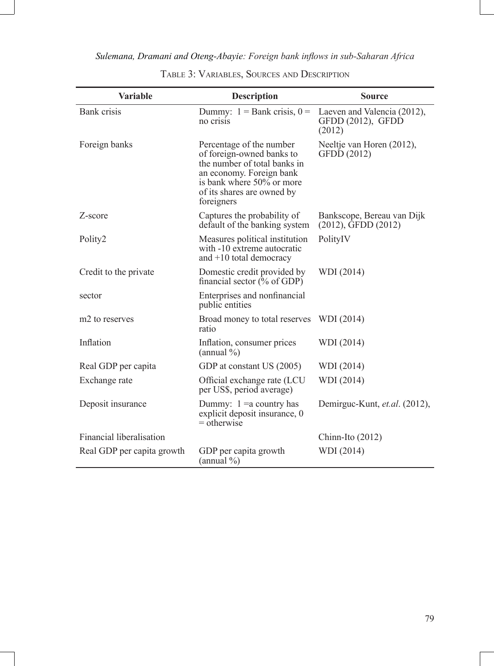| <b>Variable</b>            | <b>Description</b>                                                                                                                                                                         | <b>Source</b>                                              |
|----------------------------|--------------------------------------------------------------------------------------------------------------------------------------------------------------------------------------------|------------------------------------------------------------|
| <b>Bank</b> crisis         | Dummy: $1 =$ Bank crisis, $0 =$<br>no crisis                                                                                                                                               | Laeven and Valencia (2012),<br>GFDD (2012), GFDD<br>(2012) |
| Foreign banks              | Percentage of the number<br>of foreign-owned banks to<br>the number of total banks in<br>an economy. Foreign bank<br>is bank where 50% or more<br>of its shares are owned by<br>foreigners | Neeltje van Horen (2012),<br>GFDD (2012)                   |
| Z-score                    | Captures the probability of<br>default of the banking system                                                                                                                               | Bankscope, Bereau van Dijk<br>$(2012)$ , GFDD $(2012)$     |
| Polity2                    | Measures political institution<br>with -10 extreme autocratic<br>and $+10$ total democracy                                                                                                 | PolityIV                                                   |
| Credit to the private      | Domestic credit provided by<br>financial sector $(\%$ of GDP)                                                                                                                              | WDI (2014)                                                 |
| sector                     | Enterprises and nonfinancial<br>public entities                                                                                                                                            |                                                            |
| m <sub>2</sub> to reserves | Broad money to total reserves<br>ratio                                                                                                                                                     | WDI (2014)                                                 |
| Inflation                  | Inflation, consumer prices<br>(annual $\%$ )                                                                                                                                               | WDI (2014)                                                 |
| Real GDP per capita        | GDP at constant US (2005)                                                                                                                                                                  | WDI (2014)                                                 |
| Exchange rate              | Official exchange rate (LCU<br>per US\$, period average)                                                                                                                                   | WDI (2014)                                                 |
| Deposit insurance          | Dummy: $1 = a$ country has<br>explicit deposit insurance, 0<br>$=$ otherwise                                                                                                               | Demirguc-Kunt, et.al. (2012),                              |
| Financial liberalisation   |                                                                                                                                                                                            | Chinn-Ito $(2012)$                                         |
| Real GDP per capita growth | GDP per capita growth<br>$(annual \% )$                                                                                                                                                    | WDI (2014)                                                 |

Table 3: Variables, Sources and Description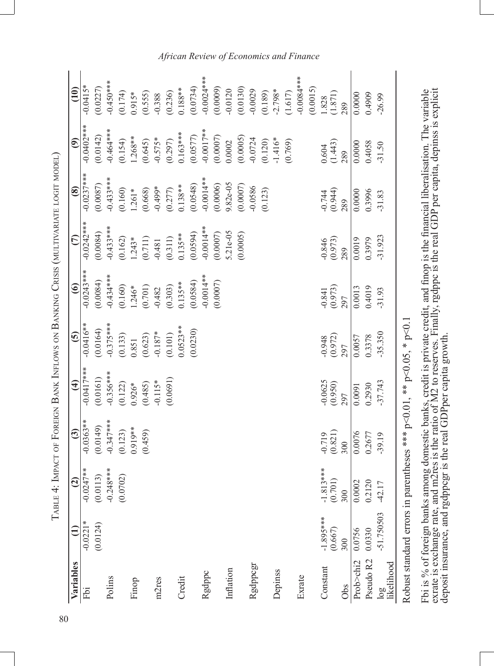| l<br>I<br>l                                         |
|-----------------------------------------------------|
| ふんくさん しょく くしゅうしょう                                   |
|                                                     |
| ١                                                   |
|                                                     |
|                                                     |
| $\begin{array}{c} \hline \end{array}$               |
|                                                     |
|                                                     |
| ו<br>ו                                              |
|                                                     |
|                                                     |
| l                                                   |
| Ì<br>١                                              |
| l<br>י<br>י                                         |
| ļ                                                   |
| -<br>;<br>;                                         |
|                                                     |
| 医生物的 医阿里尔氏                                          |
| l                                                   |
| Ī<br>l                                              |
| ļ                                                   |
| ł<br>ļ                                              |
| $\frac{1}{1}$                                       |
| ļ<br>١<br>$\overline{\phantom{a}}$<br>ı             |
| ı                                                   |
| J<br>l                                              |
|                                                     |
|                                                     |
|                                                     |
| :<br>:<br>l                                         |
|                                                     |
| $\overline{a}$                                      |
| ֪֪֦֪֦֪֦֪֦֖֪֦֞֝֝֝֝֝֝֝֝֬֝֝֝֬֝֝֝֝֝֬֝֝֝֝֝֝֬֝֝<br>F<br>l |
|                                                     |

| Variables         |             | $\widehat{c}$                 | $\widehat{\mathbf{c}}$         | $\widehat{f}$                                                                | $\overline{6}$                                         | $\odot$                                        | $\epsilon$                                                                | $\circledast$                                                                                                         | $\widehat{e}$                               | (10)                          |
|-------------------|-------------|-------------------------------|--------------------------------|------------------------------------------------------------------------------|--------------------------------------------------------|------------------------------------------------|---------------------------------------------------------------------------|-----------------------------------------------------------------------------------------------------------------------|---------------------------------------------|-------------------------------|
| Fbi               | $-0.0221*$  | $-0.0247**$                   | $-0.0363**$                    |                                                                              | $-0.0416**$                                            | $-0.0243**$                                    | $-0.0242***$                                                              | $-0.0237$ ***                                                                                                         | $-0.0402$ ***                               | $-0.0415*$                    |
|                   | (0.0124)    |                               | (0.0149)                       | $(19100)$<br>****7170.0-                                                     | (0.0164)                                               |                                                | (0.0084)                                                                  | (0.0087)                                                                                                              | (0.0142)                                    | (0.0227)                      |
| Polins            |             | $(0.0113)$<br>-0.248***       | $-0.347$ ***                   | $-0.356***$<br>(0.122)                                                       | $-0.375***$<br>(0.133)<br>(0.851<br>(0.623)<br>(0.623) | $(0.0084)$<br>-0.434***                        |                                                                           |                                                                                                                       | $-0.464***$                                 | $-0.450**$                    |
|                   |             | (0.0702)                      | (0.123)                        |                                                                              |                                                        | $(0.160)$<br>$1.246*$<br>$(0.701)$<br>$-0.482$ | $-0.433***$<br>$(0.162)$<br>$1.243*$<br>$1.243*$<br>$(0.711)$<br>$-0.481$ | $-0.433***$<br>$(0.160)$<br>$(1.261*$<br>$(1.261*$<br>$-0.499*$<br>$-0.499*$<br>$(0.277)$<br>$(0.0548)$<br>$(0.0548)$ | (0.154)                                     | (0.174)                       |
| Finop             |             |                               | 0.919**                        | $0.926*$                                                                     |                                                        |                                                |                                                                           |                                                                                                                       | $1.268**$                                   |                               |
|                   |             |                               | (0.459)                        | $(0.485)$<br>-0.115*                                                         |                                                        |                                                |                                                                           |                                                                                                                       | $(0.645)$<br>-0.575*<br>(0.297)<br>0.163*** | $0.915*$<br>(0.555)<br>-0.388 |
| m2res             |             |                               |                                |                                                                              |                                                        |                                                |                                                                           |                                                                                                                       |                                             |                               |
|                   |             |                               |                                | (0.0691)                                                                     | (0.101)                                                | (0.303)                                        | $(0.311)$<br>0.135**<br>0.0594)                                           |                                                                                                                       |                                             |                               |
| Credit            |             |                               |                                |                                                                              | $0.0523**$                                             | $0.135***$                                     |                                                                           |                                                                                                                       |                                             | $(0.236)$<br>0.188**          |
|                   |             |                               |                                |                                                                              | (0.0230)                                               | (0.0584)                                       |                                                                           |                                                                                                                       | $(0.0577)$<br>-0.0017**                     | $(0.0734)$<br>-0.0024***      |
| Rgdppc            |             |                               |                                |                                                                              |                                                        | $-0.0014**$                                    | $-0.0014**$                                                               |                                                                                                                       |                                             |                               |
|                   |             |                               |                                |                                                                              |                                                        | (0.0007)                                       | (0.0007)                                                                  | $(0.0006)$<br>9.82e-05                                                                                                | $(0.0007)$<br>$0.0002$                      | (0.0009)                      |
| Inflation         |             |                               |                                |                                                                              |                                                        |                                                | 5.21e-05                                                                  |                                                                                                                       |                                             | $-0.0120$                     |
|                   |             |                               |                                |                                                                              |                                                        |                                                | (0.0005)                                                                  | (0.0007)                                                                                                              | $(0.0005)$<br>-0.0724                       | $(0.0130)$<br>$-0.0029$       |
| Rgdppcgr          |             |                               |                                |                                                                              |                                                        |                                                |                                                                           | $-0.0586$                                                                                                             |                                             |                               |
|                   |             |                               |                                |                                                                              |                                                        |                                                |                                                                           | (0.123)                                                                                                               | (0.120)                                     | $(0.189)$<br>-2.798*          |
| Depinss           |             |                               |                                |                                                                              |                                                        |                                                |                                                                           |                                                                                                                       | $-1.416*$                                   |                               |
|                   |             |                               |                                |                                                                              |                                                        |                                                |                                                                           |                                                                                                                       | (0.769)                                     | (1.617)                       |
| Exrate            |             |                               |                                |                                                                              |                                                        |                                                |                                                                           |                                                                                                                       |                                             | $-0.0000$                     |
|                   |             |                               |                                |                                                                              |                                                        |                                                |                                                                           |                                                                                                                       |                                             | (0.0015)                      |
| Constant          | $-1.895***$ |                               | $\frac{0.719}{(0.821)}$<br>300 | $-0.0625$<br>$(0.950)$                                                       | $\frac{0.948}{(0.972)}$<br>297                         | $\frac{0.841}{(0.973)}$                        | $-0.846$<br>(0.973)                                                       | $-0.744$<br>$(0.944)$<br>$289$                                                                                        |                                             | 1.828                         |
|                   | (0.667)     |                               |                                |                                                                              |                                                        |                                                |                                                                           |                                                                                                                       |                                             | (1.871)                       |
| Obs               | 300         | $-1.813***$<br>(0.701)<br>300 |                                | 297                                                                          |                                                        |                                                | 289                                                                       |                                                                                                                       | $\frac{0.604}{(1.443)}$<br>289              | 289                           |
| Prob>chi2         | 0.0756      | $\frac{0.0002}{0.2120}$       | 0.0076                         | 0.0091                                                                       | 0.0057                                                 | 0.0013                                         | 0.0019                                                                    | 0.0000                                                                                                                | 0.0000                                      | 0.0000                        |
| Pseudo R2         | 0.0330      |                               | 0.2677                         | 0.2930                                                                       | 0.3378                                                 | 0.4019                                         | 0.3979                                                                    | 0.3996                                                                                                                | 0.4058                                      | 0.4909                        |
| log<br>likelihood | -51.750503  | $-42.17$                      | $-39.19$                       | $-37.743$                                                                    | $-35.350$                                              | $-31.93$                                       | $-31.923$                                                                 | $-31.83$                                                                                                              | $-31.50$                                    | $-26.99$                      |
|                   |             |                               |                                | Robust standard errors in parentheses *** $p<0.01$ , ** $p<0.05$ , * $p<0.1$ |                                                        |                                                |                                                                           |                                                                                                                       |                                             |                               |

Fbi is % of foreign banks among domestic banks, credit is private credit, and finop is the financial liberalisation. The variable exrate is exchange rate, and m2res is the ratio of M2 to reserves. Finally, rgdppc is the re exrate is exchange rate, and m2res is the ratio of M2 to reserves. Finally, rgdppc is the real GDP per capita, depinss is explicit Fbi is % of foreign banks among domestic banks, credit is private credit, and finop is the financial liberalisation. The variable deposit insurance, and rgdppcgr is the real GDPper capita growth.

## *African Review of Economics and Finance*